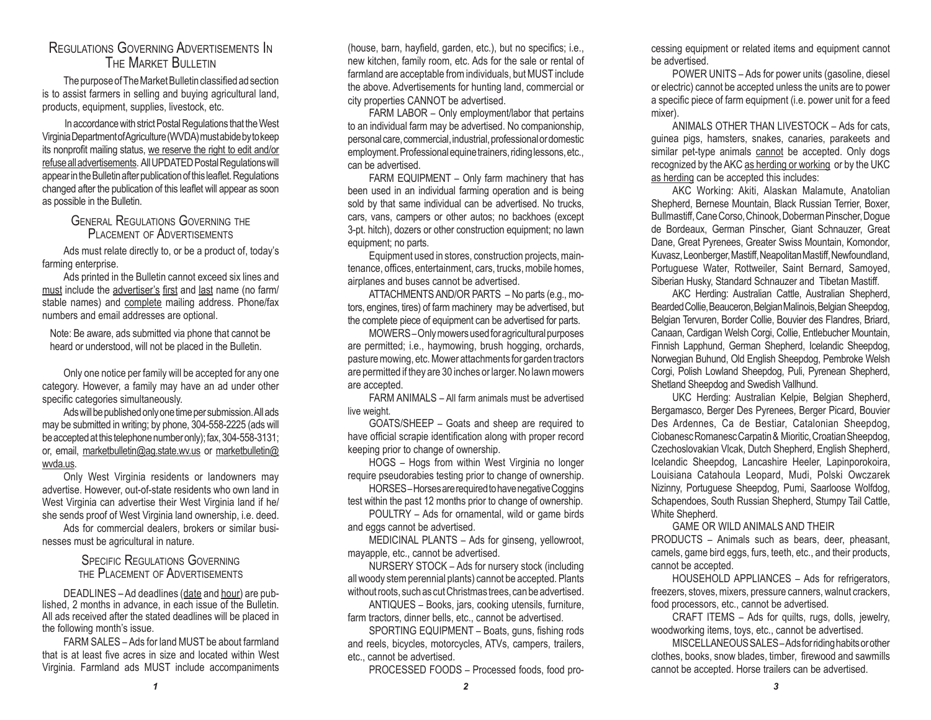## Regulations Governing Advertisements In THE MARKET BULLETIN

The purpose of The Market Bulletin classified ad section is to assist farmers in selling and buying agricultural land, products, equipment, supplies, livestock, etc.

In accordance with strict Postal Regulations that the West Virginia Department of Agriculture (WVDA) must abide by to keep its nonprofit mailing status, we reserve the right to edit and/or refuse all advertisements. All UPDATED Postal Regulations will appear in the Bulletin after publication of this leaflet. Regulations changed after the publication of this leaflet will appear as soon as possible in the Bulletin.

#### General Regulations Governing the PI ACEMENT OF ADVERTISEMENTS

Ads must relate directly to, or be a product of, today's farming enterprise.

Ads printed in the Bulletin cannot exceed six lines and must include the advertiser's first and last name (no farm/ stable names) and complete mailing address. Phone/fax numbers and email addresses are optional.

Note: Be aware, ads submitted via phone that cannot be heard or understood, will not be placed in the Bulletin.

Only one notice per family will be accepted for any one category. However, a family may have an ad under other specific categories simultaneously.

Ads will be published only one time per submission. All ads may be submitted in writing; by phone, 304-558-2225 (ads will be accepted at this telephone number only); fax, 304-558-3131; or, email, marketbulletin@ag.state.wv.us or marketbulletin@ wvda.us.

Only West Virginia residents or landowners may advertise. However, out-of-state residents who own land in West Virginia can advertise their West Virginia land if he/ she sends proof of West Virginia land ownership, i.e. deed.

Ads for commercial dealers, brokers or similar businesses must be agricultural in nature.

#### SPECIFIC REGULATIONS GOVERNING the Placement of Advertisements

DEADLINES - Ad deadlines (date and hour) are published, 2 months in advance, in each issue of the Bulletin. All ads received after the stated deadlines will be placed in the following month's issue.

FARM SALES – Ads for land MUST be about farmland that is at least five acres in size and located within West Virginia. Farmland ads MUST include accompaniments (house, barn, hayfield, garden, etc.), but no specifics; i.e., new kitchen, family room, etc. Ads for the sale or rental of farmland are acceptable from individuals, but MUST include the above. Advertisements for hunting land, commercial or city properties CANNOT be advertised.

FARM LABOR – Only employment/labor that pertains to an individual farm may be advertised. No companionship, personal care, commercial, industrial, professional or domestic employment. Professional equine trainers, riding lessons, etc., can be advertised.

FARM EQUIPMENT – Only farm machinery that has been used in an individual farming operation and is being sold by that same individual can be advertised. No trucks, cars, vans, campers or other autos; no backhoes (except 3-pt. hitch), dozers or other construction equipment; no lawn equipment; no parts.

Equipment used in stores, construction projects, maintenance, offices, entertainment, cars, trucks, mobile homes, airplanes and buses cannot be advertised.

ATTACHMENTS AND/OR PARTS – No parts (e.g., motors, engines, tires) of farm machinery may be advertised, but the complete piece of equipment can be advertised for parts.

MOWERS – Only mowers used for agricultural purposes are permitted; i.e., haymowing, brush hogging, orchards, pasture mowing, etc. Mower attachments for garden tractors are permitted if they are 30 inches or larger. No lawn mowers are accepted.

FARM ANIMALS – All farm animals must be advertised live weight.

GOATS/SHEEP – Goats and sheep are required to have official scrapie identification along with proper record keeping prior to change of ownership.

HOGS – Hogs from within West Virginia no longer require pseudorabies testing prior to change of ownership.

HORSES – Horses are required to have negative Coggins test within the past 12 months prior to change of ownership.

POULTRY – Ads for ornamental, wild or game birds and eggs cannot be advertised.

MEDICINAL PLANTS – Ads for ginseng, yellowroot, mayapple, etc., cannot be advertised.

NURSERY STOCK – Ads for nursery stock (including all woody stem perennial plants) cannot be accepted. Plants without roots, such as cut Christmas trees, can be advertised.

ANTIQUES – Books, jars, cooking utensils, furniture, farm tractors, dinner bells, etc., cannot be advertised.

SPORTING EQUIPMENT – Boats, guns, fishing rods and reels, bicycles, motorcycles, ATVs, campers, trailers, etc., cannot be advertised.

PROCESSED FOODS – Processed foods, food pro-

cessing equipment or related items and equipment cannot be advertised.

POWER UNITS – Ads for power units (gasoline, diesel or electric) cannot be accepted unless the units are to power a specific piece of farm equipment (i.e. power unit for a feed mixer).

ANIMALS OTHER THAN LIVESTOCK – Ads for cats, guinea pigs, hamsters, snakes, canaries, parakeets and similar pet-type animals cannot be accepted. Only dogs recognized by the AKC as herding or working or by the UKC as herding can be accepted this includes:

AKC Working: Akiti, Alaskan Malamute, Anatolian Shepherd, Bernese Mountain, Black Russian Terrier, Boxer, Bullmastiff, Cane Corso, Chinook, Doberman Pinscher, Dogue de Bordeaux, German Pinscher, Giant Schnauzer, Great Dane, Great Pyrenees, Greater Swiss Mountain, Komondor, Kuvasz, Leonberger, Mastiff, Neapolitan Mastiff, Newfoundland, Portuguese Water, Rottweiler, Saint Bernard, Samoyed, Siberian Husky, Standard Schnauzer and Tibetan Mastiff.

AKC Herding: Australian Cattle, Australian Shepherd, Bearded Collie, Beauceron, Belgian Malinois, Belgian Sheepdog, Belgian Tervuren, Border Collie, Bouvier des Flandres, Briard, Canaan, Cardigan Welsh Corgi, Collie, Entlebucher Mountain, Finnish Lapphund, German Shepherd, Icelandic Sheepdog, Norwegian Buhund, Old English Sheepdog, Pembroke Welsh Corgi, Polish Lowland Sheepdog, Puli, Pyrenean Shepherd, Shetland Sheepdog and Swedish Vallhund.

UKC Herding: Australian Kelpie, Belgian Shepherd, Bergamasco, Berger Des Pyrenees, Berger Picard, Bouvier Des Ardennes, Ca de Bestiar, Catalonian Sheepdog, Ciobanesc Romanesc Carpatin & Mioritic, Croatian Sheepdog, Czechoslovakian Vlcak, Dutch Shepherd, English Shepherd, Icelandic Sheepdog, Lancashire Heeler, Lapinporokoira, Louisiana Catahoula Leopard, Mudi, Polski Owczarek Nizinny, Portuguese Sheepdog, Pumi, Saarloose Wolfdog, Schapendoes, South Russian Shepherd, Stumpy Tail Cattle, White Shepherd.

#### GAME OR WILD ANIMALS AND THEIR

PRODUCTS – Animals such as bears, deer, pheasant, camels, game bird eggs, furs, teeth, etc., and their products, cannot be accepted.

HOUSEHOLD APPLIANCES – Ads for refrigerators, freezers, stoves, mixers, pressure canners, walnut crackers, food processors, etc., cannot be advertised.

CRAFT ITEMS – Ads for quilts, rugs, dolls, jewelry, woodworking items, toys, etc., cannot be advertised.

MISCELLANEOUS SALES – Ads for riding habits or other clothes, books, snow blades, timber, firewood and sawmills cannot be accepted. Horse trailers can be advertised.